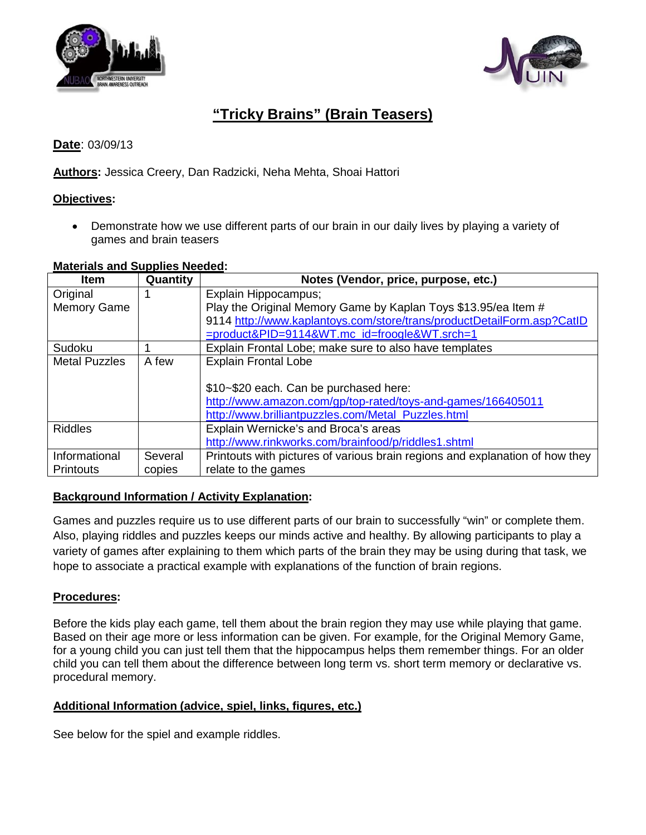



# **"Tricky Brains" (Brain Teasers)**

**Date**: 03/09/13

**Authors:** Jessica Creery, Dan Radzicki, Neha Mehta, Shoai Hattori

### **Objectives:**

• Demonstrate how we use different parts of our brain in our daily lives by playing a variety of games and brain teasers

#### **Materials and Supplies Needed :**

| <b>Item</b>          | Quantity | Notes (Vendor, price, purpose, etc.)                                         |
|----------------------|----------|------------------------------------------------------------------------------|
| Original             |          | Explain Hippocampus;                                                         |
| <b>Memory Game</b>   |          | Play the Original Memory Game by Kaplan Toys \$13.95/ea Item #               |
|                      |          | 9114 http://www.kaplantoys.com/store/trans/productDetailForm.asp?CatID       |
|                      |          | =product&PID=9114&WT.mc_id=froogle&WT.srch=1                                 |
| Sudoku               |          | Explain Frontal Lobe; make sure to also have templates                       |
| <b>Metal Puzzles</b> | A few    | <b>Explain Frontal Lobe</b>                                                  |
|                      |          |                                                                              |
|                      |          | \$10~\$20 each. Can be purchased here:                                       |
|                      |          | http://www.amazon.com/gp/top-rated/toys-and-games/166405011                  |
|                      |          | http://www.brilliantpuzzles.com/Metal Puzzles.html                           |
| <b>Riddles</b>       |          | Explain Wernicke's and Broca's areas                                         |
|                      |          | http://www.rinkworks.com/brainfood/p/riddles1.shtml                          |
| Informational        | Several  | Printouts with pictures of various brain regions and explanation of how they |
| <b>Printouts</b>     | copies   | relate to the games                                                          |

## **Background Information / Activity Explanation :**

Games and puzzles require us to use different parts of our brain to successfully "win" or complete them. Also, playing riddles and puzzles keeps our minds active and healthy. By allowing participants to play a variety of games after explaining to them which parts of the brain they may be using during that task, we hope to associate a practical example with explanations of the function of brain regions.

#### **Procedures:**

Before the kids play each game, tell them about the brain region they may use while playing that game. Based on their age more or less information can be given. For example, for the Original Memory Game, for a young child you can just tell them that the hippocampus helps them remember things. For an older child you can tell them about the difference between long term vs. short term memory or declarative vs. procedural memory.

#### **Additional Information (advice, spiel, links, figures, etc.)**

See below for the spiel and example riddles.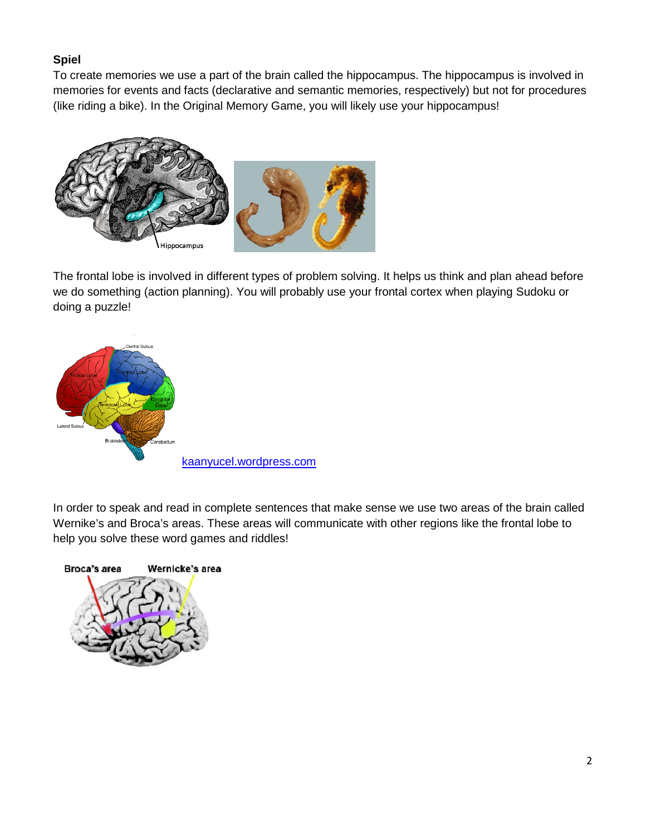# **Spiel**

To create memories we use a part of the brain called the hippocampus. The hippocampus is involved in memories for events and facts (declarative and semantic memories, respectively) but not for procedures (like riding a bike). In the Original Memory Game, you will likely use your hippocampus!



The frontal lobe is involved in different types of problem solving. It helps us think and plan ahead before we do something (action planning). You will probably use your frontal cortex when playing Sudoku or doing a puzzle!



In order to speak and read in complete sentences that make sense we use two areas of the brain called Wernike's and Broca's areas. These areas will communicate with other regions like the frontal lobe to help you solve these word games and riddles!

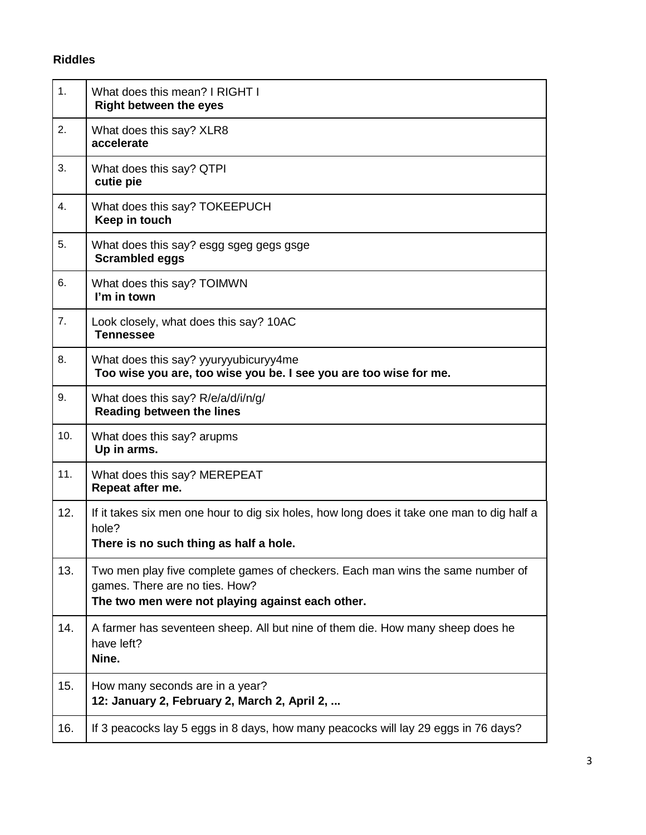# **Riddles**

| 1.  | What does this mean? I RIGHT I<br><b>Right between the eyes</b>                                                                                                      |
|-----|----------------------------------------------------------------------------------------------------------------------------------------------------------------------|
| 2.  | What does this say? XLR8<br>accelerate                                                                                                                               |
| 3.  | What does this say? QTPI<br>cutie pie                                                                                                                                |
| 4.  | What does this say? TOKEEPUCH<br>Keep in touch                                                                                                                       |
| 5.  | What does this say? esgg sgeg gegs gsge<br><b>Scrambled eggs</b>                                                                                                     |
| 6.  | What does this say? TOIMWN<br>I'm in town                                                                                                                            |
| 7.  | Look closely, what does this say? 10AC<br><b>Tennessee</b>                                                                                                           |
| 8.  | What does this say? yyuryyubicuryy4me<br>Too wise you are, too wise you be. I see you are too wise for me.                                                           |
| 9.  | What does this say? R/e/a/d/i/n/g/<br><b>Reading between the lines</b>                                                                                               |
| 10. | What does this say? arupms<br>Up in arms.                                                                                                                            |
| 11. | What does this say? MEREPEAT<br>Repeat after me.                                                                                                                     |
| 12. | If it takes six men one hour to dig six holes, how long does it take one man to dig half a<br>hole?<br>There is no such thing as half a hole.                        |
| 13. | Two men play five complete games of checkers. Each man wins the same number of<br>games. There are no ties. How?<br>The two men were not playing against each other. |
| 14. | A farmer has seventeen sheep. All but nine of them die. How many sheep does he<br>have left?<br>Nine.                                                                |
| 15. | How many seconds are in a year?<br>12: January 2, February 2, March 2, April 2,                                                                                      |
| 16. | If 3 peacocks lay 5 eggs in 8 days, how many peacocks will lay 29 eggs in 76 days?                                                                                   |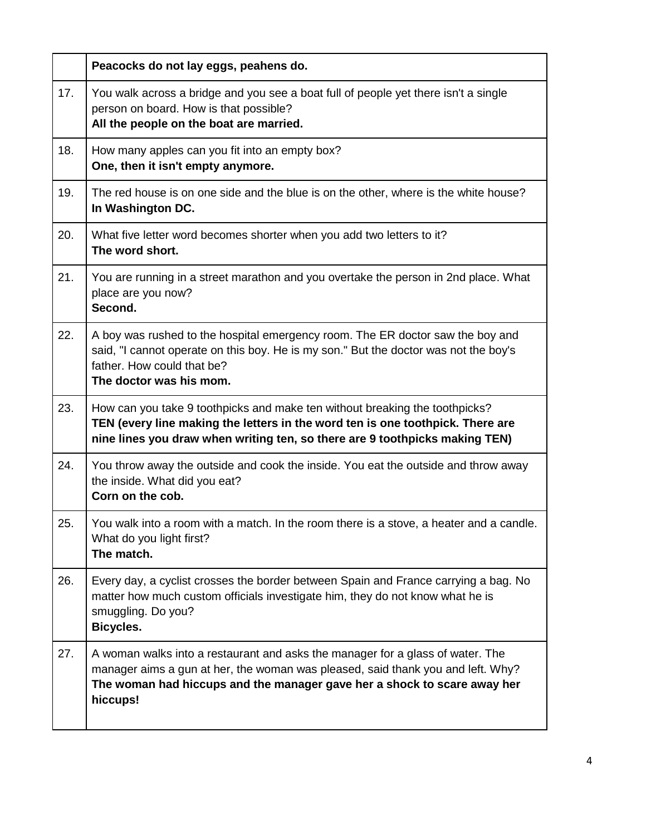|     | Peacocks do not lay eggs, peahens do.                                                                                                                                                                                                                     |
|-----|-----------------------------------------------------------------------------------------------------------------------------------------------------------------------------------------------------------------------------------------------------------|
| 17. | You walk across a bridge and you see a boat full of people yet there isn't a single<br>person on board. How is that possible?<br>All the people on the boat are married.                                                                                  |
| 18. | How many apples can you fit into an empty box?<br>One, then it isn't empty anymore.                                                                                                                                                                       |
| 19. | The red house is on one side and the blue is on the other, where is the white house?<br>In Washington DC.                                                                                                                                                 |
| 20. | What five letter word becomes shorter when you add two letters to it?<br>The word short.                                                                                                                                                                  |
| 21. | You are running in a street marathon and you overtake the person in 2nd place. What<br>place are you now?<br>Second.                                                                                                                                      |
| 22. | A boy was rushed to the hospital emergency room. The ER doctor saw the boy and<br>said, "I cannot operate on this boy. He is my son." But the doctor was not the boy's<br>father. How could that be?<br>The doctor was his mom.                           |
| 23. | How can you take 9 toothpicks and make ten without breaking the toothpicks?<br>TEN (every line making the letters in the word ten is one toothpick. There are<br>nine lines you draw when writing ten, so there are 9 toothpicks making TEN)              |
| 24. | You throw away the outside and cook the inside. You eat the outside and throw away<br>the inside. What did you eat?<br>Corn on the cob.                                                                                                                   |
| 25. | You walk into a room with a match. In the room there is a stove, a heater and a candle.<br>What do you light first?<br>The match.                                                                                                                         |
| 26. | Every day, a cyclist crosses the border between Spain and France carrying a bag. No<br>matter how much custom officials investigate him, they do not know what he is<br>smuggling. Do you?<br><b>Bicycles.</b>                                            |
| 27. | A woman walks into a restaurant and asks the manager for a glass of water. The<br>manager aims a gun at her, the woman was pleased, said thank you and left. Why?<br>The woman had hiccups and the manager gave her a shock to scare away her<br>hiccups! |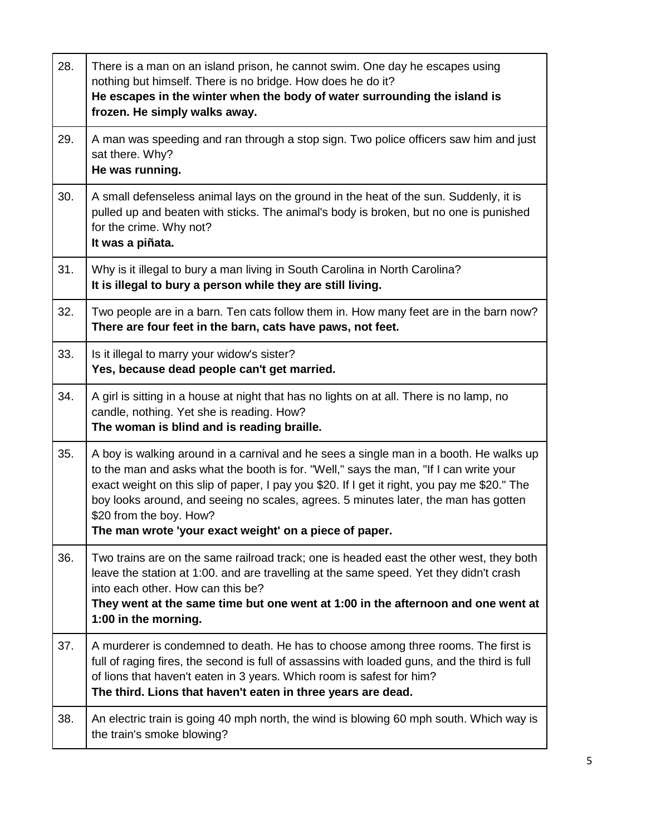| 28. | There is a man on an island prison, he cannot swim. One day he escapes using<br>nothing but himself. There is no bridge. How does he do it?<br>He escapes in the winter when the body of water surrounding the island is<br>frozen. He simply walks away.                                                                                                                                                                                                   |
|-----|-------------------------------------------------------------------------------------------------------------------------------------------------------------------------------------------------------------------------------------------------------------------------------------------------------------------------------------------------------------------------------------------------------------------------------------------------------------|
| 29. | A man was speeding and ran through a stop sign. Two police officers saw him and just<br>sat there. Why?<br>He was running.                                                                                                                                                                                                                                                                                                                                  |
| 30. | A small defenseless animal lays on the ground in the heat of the sun. Suddenly, it is<br>pulled up and beaten with sticks. The animal's body is broken, but no one is punished<br>for the crime. Why not?<br>It was a piñata.                                                                                                                                                                                                                               |
| 31. | Why is it illegal to bury a man living in South Carolina in North Carolina?<br>It is illegal to bury a person while they are still living.                                                                                                                                                                                                                                                                                                                  |
| 32. | Two people are in a barn. Ten cats follow them in. How many feet are in the barn now?<br>There are four feet in the barn, cats have paws, not feet.                                                                                                                                                                                                                                                                                                         |
| 33. | Is it illegal to marry your widow's sister?<br>Yes, because dead people can't get married.                                                                                                                                                                                                                                                                                                                                                                  |
| 34. | A girl is sitting in a house at night that has no lights on at all. There is no lamp, no<br>candle, nothing. Yet she is reading. How?<br>The woman is blind and is reading braille.                                                                                                                                                                                                                                                                         |
| 35. | A boy is walking around in a carnival and he sees a single man in a booth. He walks up<br>to the man and asks what the booth is for. "Well," says the man, "If I can write your<br>exact weight on this slip of paper, I pay you \$20. If I get it right, you pay me \$20." The<br>boy looks around, and seeing no scales, agrees. 5 minutes later, the man has gotten<br>\$20 from the boy. How?<br>The man wrote 'your exact weight' on a piece of paper. |
| 36. | Two trains are on the same railroad track; one is headed east the other west, they both<br>leave the station at 1:00. and are travelling at the same speed. Yet they didn't crash<br>into each other. How can this be?<br>They went at the same time but one went at 1:00 in the afternoon and one went at<br>1:00 in the morning.                                                                                                                          |
| 37. | A murderer is condemned to death. He has to choose among three rooms. The first is<br>full of raging fires, the second is full of assassins with loaded guns, and the third is full<br>of lions that haven't eaten in 3 years. Which room is safest for him?<br>The third. Lions that haven't eaten in three years are dead.                                                                                                                                |
| 38. | An electric train is going 40 mph north, the wind is blowing 60 mph south. Which way is<br>the train's smoke blowing?                                                                                                                                                                                                                                                                                                                                       |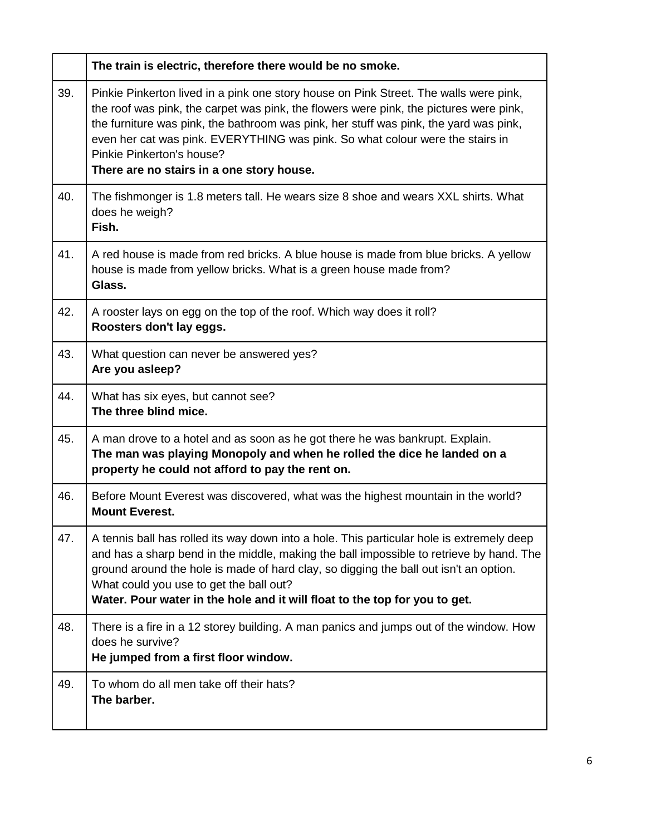|     | The train is electric, therefore there would be no smoke.                                                                                                                                                                                                                                                                                                                                                                           |
|-----|-------------------------------------------------------------------------------------------------------------------------------------------------------------------------------------------------------------------------------------------------------------------------------------------------------------------------------------------------------------------------------------------------------------------------------------|
| 39. | Pinkie Pinkerton lived in a pink one story house on Pink Street. The walls were pink,<br>the roof was pink, the carpet was pink, the flowers were pink, the pictures were pink,<br>the furniture was pink, the bathroom was pink, her stuff was pink, the yard was pink,<br>even her cat was pink. EVERYTHING was pink. So what colour were the stairs in<br>Pinkie Pinkerton's house?<br>There are no stairs in a one story house. |
| 40. | The fishmonger is 1.8 meters tall. He wears size 8 shoe and wears XXL shirts. What<br>does he weigh?<br>Fish.                                                                                                                                                                                                                                                                                                                       |
| 41. | A red house is made from red bricks. A blue house is made from blue bricks. A yellow<br>house is made from yellow bricks. What is a green house made from?<br>Glass.                                                                                                                                                                                                                                                                |
| 42. | A rooster lays on egg on the top of the roof. Which way does it roll?<br>Roosters don't lay eggs.                                                                                                                                                                                                                                                                                                                                   |
| 43. | What question can never be answered yes?<br>Are you asleep?                                                                                                                                                                                                                                                                                                                                                                         |
| 44. | What has six eyes, but cannot see?<br>The three blind mice.                                                                                                                                                                                                                                                                                                                                                                         |
| 45. | A man drove to a hotel and as soon as he got there he was bankrupt. Explain.<br>The man was playing Monopoly and when he rolled the dice he landed on a<br>property he could not afford to pay the rent on.                                                                                                                                                                                                                         |
| 46. | Before Mount Everest was discovered, what was the highest mountain in the world?<br><b>Mount Everest.</b>                                                                                                                                                                                                                                                                                                                           |
| 47. | A tennis ball has rolled its way down into a hole. This particular hole is extremely deep<br>and has a sharp bend in the middle, making the ball impossible to retrieve by hand. The<br>ground around the hole is made of hard clay, so digging the ball out isn't an option.<br>What could you use to get the ball out?<br>Water. Pour water in the hole and it will float to the top for you to get.                              |
| 48. | There is a fire in a 12 storey building. A man panics and jumps out of the window. How<br>does he survive?<br>He jumped from a first floor window.                                                                                                                                                                                                                                                                                  |
| 49. | To whom do all men take off their hats?<br>The barber.                                                                                                                                                                                                                                                                                                                                                                              |